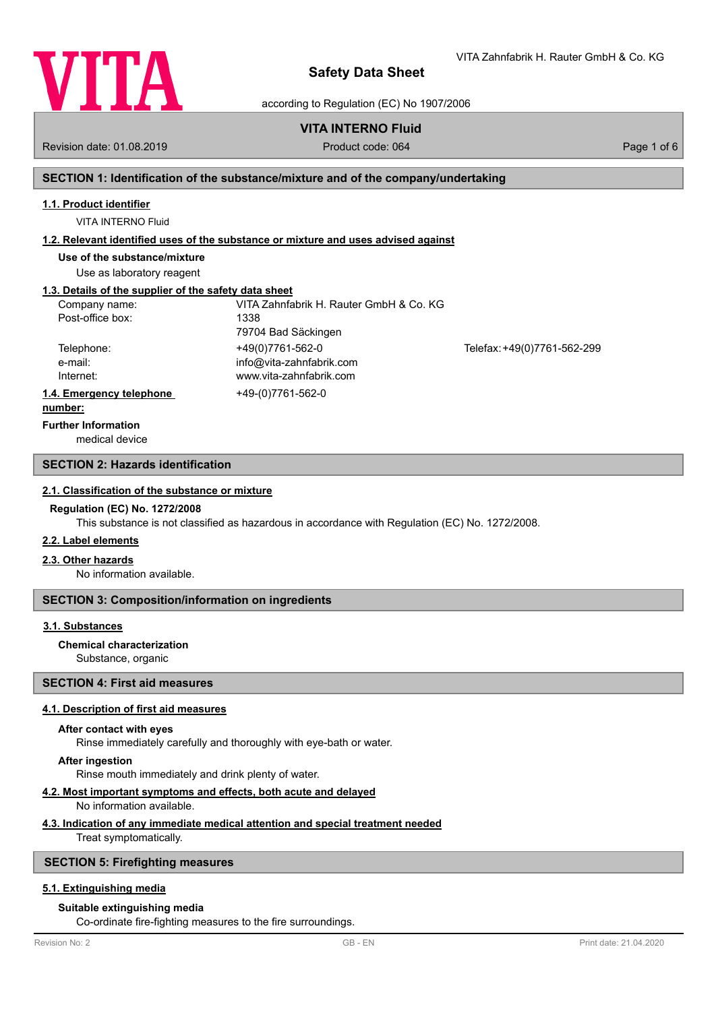

VITA Zahnfabrik H. Rauter GmbH & Co. KG

according to Regulation (EC) No 1907/2006

# **VITA INTERNO Fluid**

Revision date: 01.08.2019 **Product code: 064** Product code: 064 Page 1 of 6

# **SECTION 1: Identification of the substance/mixture and of the company/undertaking**

# **1.1. Product identifier**

VITA INTERNO Fluid

# **1.2. Relevant identified uses of the substance or mixture and uses advised against**

**Use of the substance/mixture**

Use as laboratory reagent

# **1.3. Details of the supplier of the safety data sheet**

| Company name:            | VITA Zahnfabrik H. Rauter GmbH & Co. KG |                             |
|--------------------------|-----------------------------------------|-----------------------------|
| Post-office box:         | 1338                                    |                             |
|                          | 79704 Bad Säckingen                     |                             |
| Telephone:               | +49(0)7761-562-0                        | Telefax: +49(0)7761-562-299 |
| e-mail:                  | info@vita-zahnfabrik.com                |                             |
| Internet:                | www.vita-zahnfabrik.com                 |                             |
| 1.4. Emergency telephone | +49-(0)7761-562-0                       |                             |
|                          |                                         |                             |

#### **number:**

**Further Information**

medical device

# **SECTION 2: Hazards identification**

## **2.1. Classification of the substance or mixture**

#### **Regulation (EC) No. 1272/2008**

This substance is not classified as hazardous in accordance with Regulation (EC) No. 1272/2008.

# **2.2. Label elements**

#### **2.3. Other hazards**

No information available.

# **SECTION 3: Composition/information on ingredients**

## **3.1. Substances**

#### **Chemical characterization**

Substance, organic

# **SECTION 4: First aid measures**

#### **4.1. Description of first aid measures**

#### **After contact with eyes**

Rinse immediately carefully and thoroughly with eye-bath or water.

#### **After ingestion**

Rinse mouth immediately and drink plenty of water.

#### **4.2. Most important symptoms and effects, both acute and delayed**

#### No information available.

#### **4.3. Indication of any immediate medical attention and special treatment needed**

Treat symptomatically.

### **SECTION 5: Firefighting measures**

# **5.1. Extinguishing media**

# **Suitable extinguishing media**

Co-ordinate fire-fighting measures to the fire surroundings.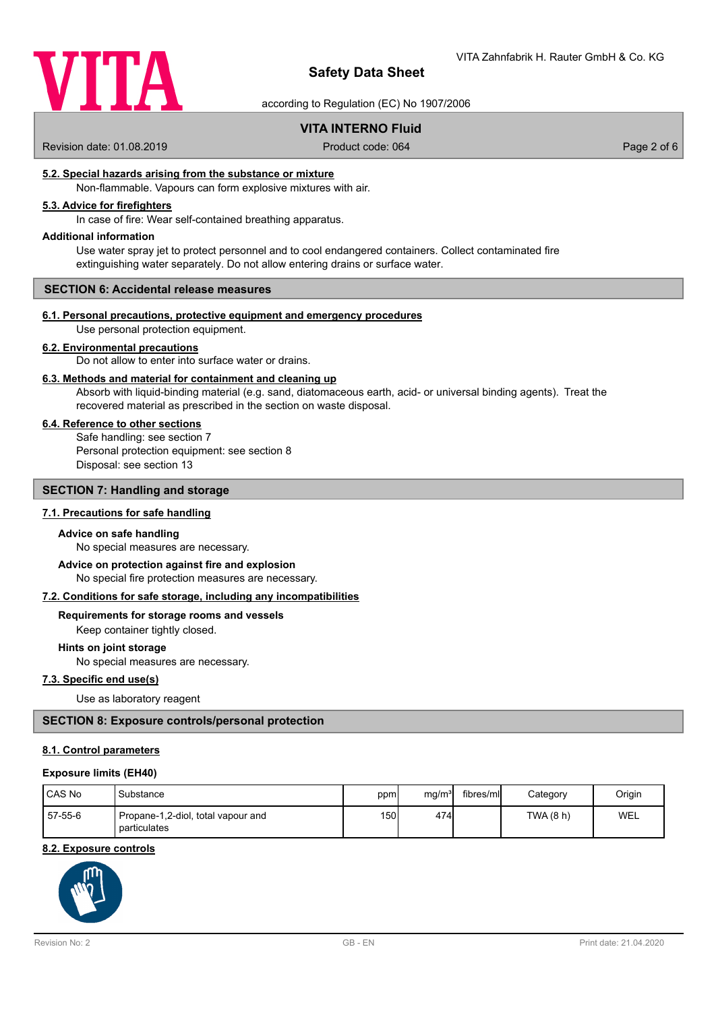

according to Regulation (EC) No 1907/2006

# **VITA INTERNO Fluid**

Revision date: 01.08.2019 Product code: 064 Product code: 064 Page 2 of 6

## **5.2. Special hazards arising from the substance or mixture**

Non-flammable. Vapours can form explosive mixtures with air.

# **5.3. Advice for firefighters**

In case of fire: Wear self-contained breathing apparatus.

#### **Additional information**

Use water spray jet to protect personnel and to cool endangered containers. Collect contaminated fire extinguishing water separately. Do not allow entering drains or surface water.

#### **SECTION 6: Accidental release measures**

#### **6.1. Personal precautions, protective equipment and emergency procedures**

Use personal protection equipment.

# **6.2. Environmental precautions**

Do not allow to enter into surface water or drains.

#### **6.3. Methods and material for containment and cleaning up**

Absorb with liquid-binding material (e.g. sand, diatomaceous earth, acid- or universal binding agents). Treat the recovered material as prescribed in the section on waste disposal.

### **6.4. Reference to other sections**

Safe handling: see section 7 Personal protection equipment: see section 8 Disposal: see section 13

### **SECTION 7: Handling and storage**

# **7.1. Precautions for safe handling**

#### **Advice on safe handling**

No special measures are necessary.

No special fire protection measures are necessary. **Advice on protection against fire and explosion**

#### **7.2. Conditions for safe storage, including any incompatibilities**

**Requirements for storage rooms and vessels**

Keep container tightly closed.

# **Hints on joint storage**

No special measures are necessary.

# **7.3. Specific end use(s)**

Use as laboratory reagent

## **SECTION 8: Exposure controls/personal protection**

#### **8.1. Control parameters**

#### **Exposure limits (EH40)**

| CAS No  | Substance                                          | ppml | mg/m <sup>3</sup> | fibres/ml | Category | Origin |
|---------|----------------------------------------------------|------|-------------------|-----------|----------|--------|
| 57-55-6 | Propane-1,2-diol, total vapour and<br>particulates | 150I | 474               |           | TWA(8 h) | WEL    |

## **8.2. Exposure controls**

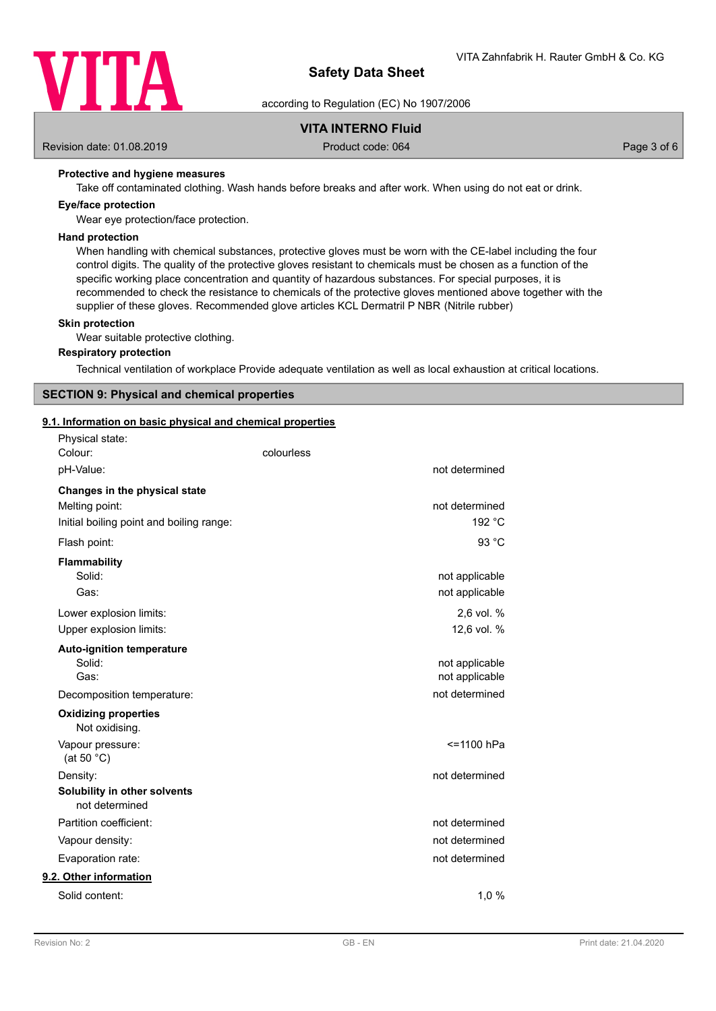

according to Regulation (EC) No 1907/2006

# **VITA INTERNO Fluid**

Revision date: 01.08.2019 Product code: 064 Page 3 of 6

# **Protective and hygiene measures**

Take off contaminated clothing. Wash hands before breaks and after work. When using do not eat or drink.

#### **Eye/face protection**

Wear eye protection/face protection.

#### **Hand protection**

When handling with chemical substances, protective gloves must be worn with the CE-label including the four control digits. The quality of the protective gloves resistant to chemicals must be chosen as a function of the specific working place concentration and quantity of hazardous substances. For special purposes, it is recommended to check the resistance to chemicals of the protective gloves mentioned above together with the supplier of these gloves. Recommended glove articles KCL Dermatril P NBR (Nitrile rubber)

#### **Skin protection**

Wear suitable protective clothing.

#### **Respiratory protection**

Technical ventilation of workplace Provide adequate ventilation as well as local exhaustion at critical locations.

## **SECTION 9: Physical and chemical properties**

# **9.1. Information on basic physical and chemical properties**

| Physical state:<br>Colour:<br>pH-Value:                                                     | colourless<br>not determined     |
|---------------------------------------------------------------------------------------------|----------------------------------|
| Changes in the physical state<br>Melting point:<br>Initial boiling point and boiling range: | not determined<br>192 °C         |
| Flash point:                                                                                | 93 °C                            |
| Flammability<br>Solid:<br>Gas:                                                              | not applicable<br>not applicable |
| Lower explosion limits:<br>Upper explosion limits:                                          | 2.6 vol. %<br>12,6 vol. %        |
| <b>Auto-ignition temperature</b><br>Solid:<br>Gas:                                          | not applicable<br>not applicable |
| Decomposition temperature:                                                                  | not determined                   |
| <b>Oxidizing properties</b><br>Not oxidising.                                               |                                  |
| Vapour pressure:<br>(at 50 $°C$ )                                                           | <=1100 hPa                       |
| Density:<br>Solubility in other solvents<br>not determined                                  | not determined                   |
| Partition coefficient:                                                                      | not determined                   |
| Vapour density:                                                                             | not determined                   |
| Evaporation rate:                                                                           | not determined                   |
| 9.2. Other information                                                                      |                                  |
| Solid content:                                                                              | 1,0%                             |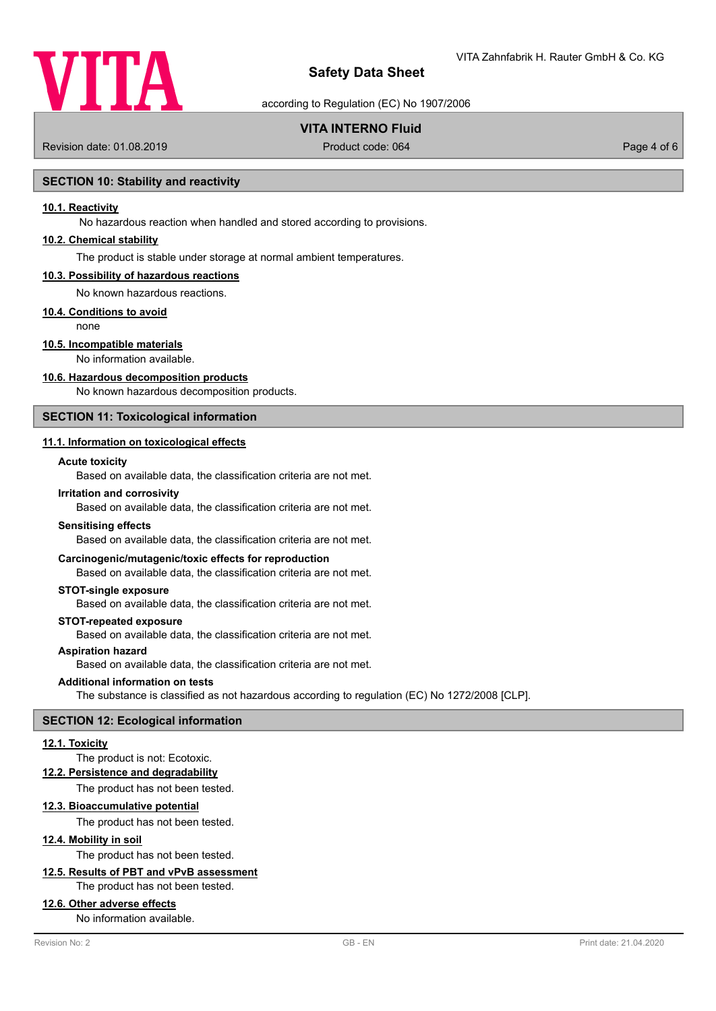

according to Regulation (EC) No 1907/2006

# **VITA INTERNO Fluid**

Revision date: 01.08.2019 **Product code: 064** Product code: 064 **Page 4 of 6** Page 4 of 6

## **SECTION 10: Stability and reactivity**

# **10.1. Reactivity**

No hazardous reaction when handled and stored according to provisions.

# **10.2. Chemical stability**

The product is stable under storage at normal ambient temperatures.

#### **10.3. Possibility of hazardous reactions**

No known hazardous reactions.

#### **10.4. Conditions to avoid**

none

### **10.5. Incompatible materials**

No information available.

#### **10.6. Hazardous decomposition products**

No known hazardous decomposition products.

# **SECTION 11: Toxicological information**

## **11.1. Information on toxicological effects**

#### **Acute toxicity**

Based on available data, the classification criteria are not met.

#### **Irritation and corrosivity**

Based on available data, the classification criteria are not met.

#### **Sensitising effects**

Based on available data, the classification criteria are not met.

#### **Carcinogenic/mutagenic/toxic effects for reproduction**

Based on available data, the classification criteria are not met.

#### **STOT-single exposure**

Based on available data, the classification criteria are not met.

#### **STOT-repeated exposure**

Based on available data, the classification criteria are not met.

#### **Aspiration hazard**

Based on available data, the classification criteria are not met.

#### **Additional information on tests**

The substance is classified as not hazardous according to regulation (EC) No 1272/2008 [CLP].

#### **SECTION 12: Ecological information**

#### **12.1. Toxicity**

#### The product is not: Ecotoxic.

**12.2. Persistence and degradability**

The product has not been tested.

#### **12.3. Bioaccumulative potential**

The product has not been tested.

## **12.4. Mobility in soil**

The product has not been tested.

# **12.5. Results of PBT and vPvB assessment**

The product has not been tested.

## **12.6. Other adverse effects**

No information available.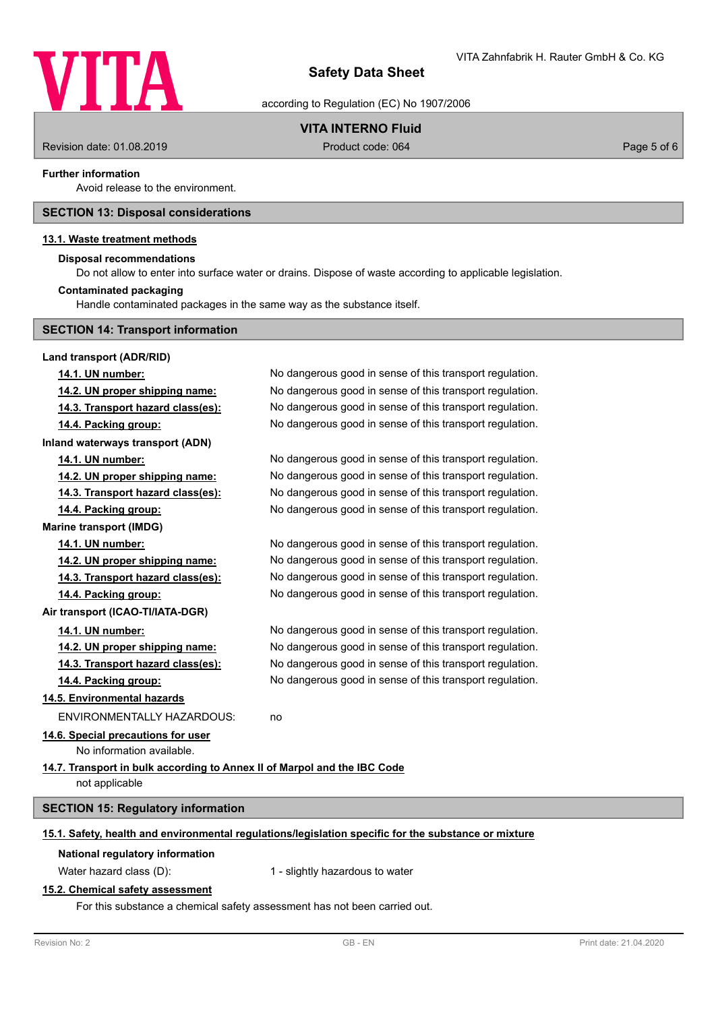

according to Regulation (EC) No 1907/2006

# **VITA INTERNO Fluid**

Revision date: 01.08.2019 **Product code: 064** Product code: 064 Page 5 of 6

#### **Further information**

Avoid release to the environment.

## **SECTION 13: Disposal considerations**

#### **13.1. Waste treatment methods**

#### **Disposal recommendations**

Do not allow to enter into surface water or drains. Dispose of waste according to applicable legislation.

## **Contaminated packaging**

Handle contaminated packages in the same way as the substance itself.

# **SECTION 14: Transport information**

**Land transport (ADR/RID) 14.1. UN number:** No dangerous good in sense of this transport regulation. **14.2. UN proper shipping name:** No dangerous good in sense of this transport regulation. **14.3. Transport hazard class(es):** No dangerous good in sense of this transport regulation. **14.4. Packing group:** No dangerous good in sense of this transport regulation. **Inland waterways transport (ADN) 14.1. UN number:** No dangerous good in sense of this transport regulation. **14.2. UN proper shipping name:** No dangerous good in sense of this transport regulation. **14.3. Transport hazard class(es):** No dangerous good in sense of this transport regulation. **14.4. Packing group:** No dangerous good in sense of this transport regulation. **Marine transport (IMDG) 14.1. UN number:** No dangerous good in sense of this transport regulation. **14.2. UN proper shipping name:** No dangerous good in sense of this transport regulation. **14.3. Transport hazard class(es):** No dangerous good in sense of this transport regulation. **14.4. Packing group:** No dangerous good in sense of this transport regulation. **Air transport (ICAO-TI/IATA-DGR) 14.1. UN number:** No dangerous good in sense of this transport regulation. **14.2. UN proper shipping name:** No dangerous good in sense of this transport regulation. **14.3. Transport hazard class(es):** No dangerous good in sense of this transport regulation. **14.4. Packing group:** No dangerous good in sense of this transport regulation. **14.5. Environmental hazards** ENVIRONMENTALLY HAZARDOUS: no **14.6. Special precautions for user** No information available. **14.7. Transport in bulk according to Annex II of Marpol and the IBC Code** not applicable **SECTION 15: Regulatory information 15.1. Safety, health and environmental regulations/legislation specific for the substance or mixture National regulatory information** Water hazard class (D): 1 - slightly hazardous to water **15.2. Chemical safety assessment**

For this substance a chemical safety assessment has not been carried out.